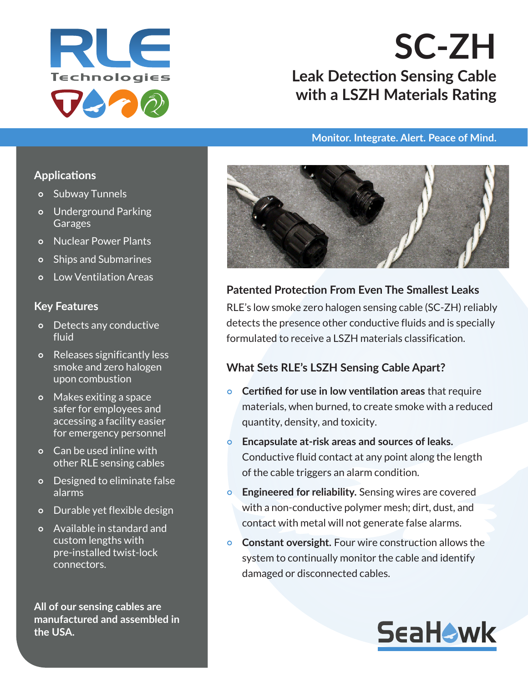

# **SC-ZH Leak Detection Sensing Cable with a LSZH Materials Rating**

#### **Monitor. Integrate. Alert. Peace of Mind.**

### **Applications**

- o Subway Tunnels
- Underground Parking **Garages**
- Nuclear Power Plants
- Ships and Submarines
- o Low Ventilation Areas

### **Key Features**

- Detects any conductive fluid
- Releases significantly less smoke and zero halogen upon combustion
- Makes exiting a space safer for employees and accessing a facility easier for emergency personnel
- Can be used inline with other RLE sensing cables
- Designed to eliminate false alarms
- Durable yet flexible design
- Available in standard and custom lengths with pre-installed twist-lock connectors.

**All of our sensing cables are manufactured and assembled in the USA.**



## **Patented Protection From Even The Smallest Leaks**

RLE's low smoke zero halogen sensing cable (SC-ZH) reliably detects the presence other conductive fluids and is specially formulated to receive a LSZH materials classification.

### **What Sets RLE's LSZH Sensing Cable Apart?**

- **Certified for use in low ventilation areas** that require materials, when burned, to create smoke with a reduced quantity, density, and toxicity.
- **Encapsulate at-risk areas and sources of leaks.**  Conductive fluid contact at any point along the length of the cable triggers an alarm condition.
- **Engineered for reliability.** Sensing wires are covered with a non-conductive polymer mesh; dirt, dust, and contact with metal will not generate false alarms.
- **Constant oversight.** Four wire construction allows the system to continually monitor the cable and identify damaged or disconnected cables.